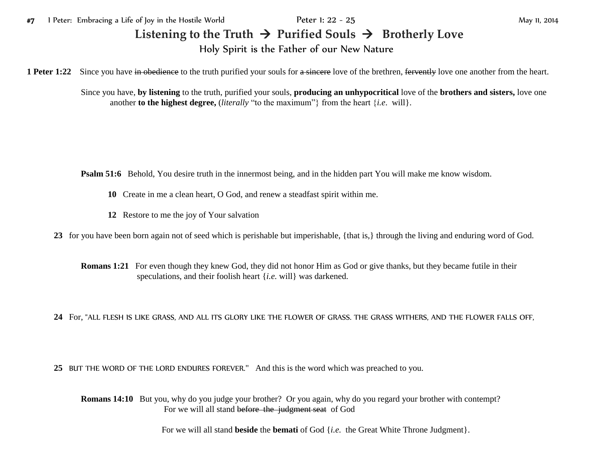## Listening to the Truth  $\rightarrow$  Purified Souls  $\rightarrow$  Brotherly Love Holy Spirit is the Father of our New Nature

**1 Peter 1:22** Since you have in obedience to the truth purified your souls for a sincere love of the brethren, fervently love one another from the heart.

Since you have, **by listening** to the truth, purified your souls, **producing an unhypocritical** love of the **brothers and sisters,** love one another **to the highest degree,** (*literally* "to the maximum"} from the heart  $\{i.e.$  will $\}$ .

**Psalm 51:6** Behold, You desire truth in the innermost being, and in the hidden part You will make me know wisdom.

- **10** Create in me a clean heart, O God, and renew a steadfast spirit within me.
- **12** Restore to me the joy of Your salvation

**23** for you have been born again not of seed which is perishable but imperishable, {that is,} through the living and enduring word of God.

**Romans 1:21** For even though they knew God, they did not honor Him as God or give thanks, but they became futile in their speculations, and their foolish heart {*i.e.* will} was darkened.

**24** For, "ALL FLESH IS LIKE GRASS, AND ALL ITS GLORY LIKE THE FLOWER OF GRASS. THE GRASS WITHERS, AND THE FLOWER FALLS OFF,

**25** BUT THE WORD OF THE LORD ENDURES FOREVER." And this is the word which was preached to you.

**Romans 14:10** But you, why do you judge your brother? Or you again, why do you regard your brother with contempt? For we will all stand before the judgment seat of God

For we will all stand **beside** the **bemati** of God {*i.e.* the Great White Throne Judgment}.